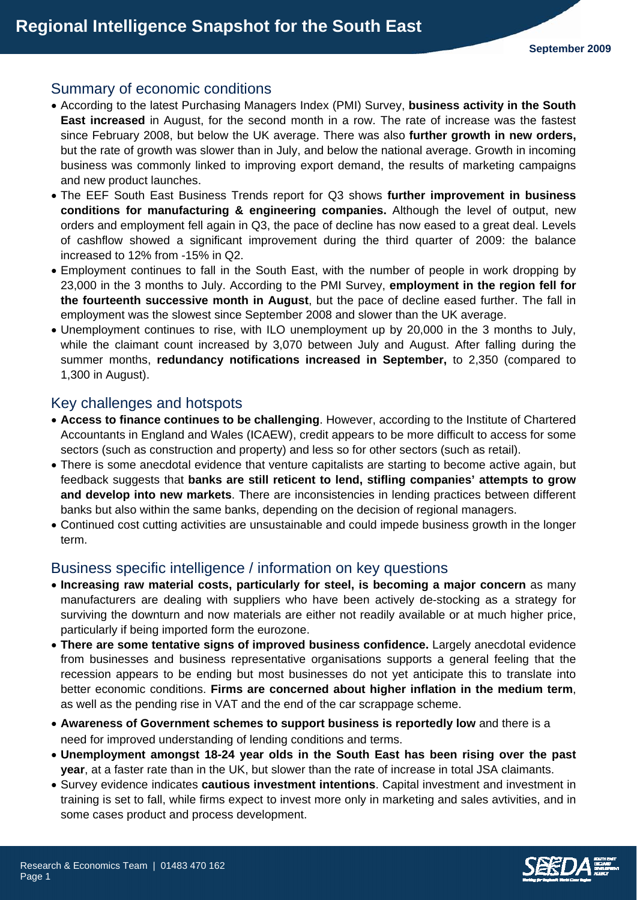# Summary of economic conditions

- According to the latest Purchasing Managers Index (PMI) Survey, **business activity in the South East increased** in August, for the second month in a row. The rate of increase was the fastest since February 2008, but below the UK average. There was also **further growth in new orders,** but the rate of growth was slower than in July, and below the national average. Growth in incoming business was commonly linked to improving export demand, the results of marketing campaigns and new product launches.
- The EEF South East Business Trends report for Q3 shows **further improvement in business conditions for manufacturing & engineering companies.** Although the level of output, new orders and employment fell again in Q3, the pace of decline has now eased to a great deal. Levels of cashflow showed a significant improvement during the third quarter of 2009: the balance increased to 12% from -15% in Q2.
- Employment continues to fall in the South East, with the number of people in work dropping by 23,000 in the 3 months to July. According to the PMI Survey, **employment in the region fell for the fourteenth successive month in August**, but the pace of decline eased further. The fall in employment was the slowest since September 2008 and slower than the UK average.
- Unemployment continues to rise, with ILO unemployment up by 20,000 in the 3 months to July, while the claimant count increased by 3,070 between July and August. After falling during the summer months, **redundancy notifications increased in September,** to 2,350 (compared to 1,300 in August).

## Key challenges and hotspots

- **Access to finance continues to be challenging**. However, according to the Institute of Chartered Accountants in England and Wales (ICAEW), credit appears to be more difficult to access for some sectors (such as construction and property) and less so for other sectors (such as retail).
- There is some anecdotal evidence that venture capitalists are starting to become active again, but feedback suggests that **banks are still reticent to lend, stifling companies' attempts to grow and develop into new markets**. There are inconsistencies in lending practices between different banks but also within the same banks, depending on the decision of regional managers.
- Continued cost cutting activities are unsustainable and could impede business growth in the longer term.

## Business specific intelligence / information on key questions

- **Increasing raw material costs, particularly for steel, is becoming a major concern** as many manufacturers are dealing with suppliers who have been actively de-stocking as a strategy for surviving the downturn and now materials are either not readily available or at much higher price, particularly if being imported form the eurozone.
- **There are some tentative signs of improved business confidence.** Largely anecdotal evidence from businesses and business representative organisations supports a general feeling that the recession appears to be ending but most businesses do not yet anticipate this to translate into better economic conditions. **Firms are concerned about higher inflation in the medium term**, as well as the pending rise in VAT and the end of the car scrappage scheme.
- **Awareness of Government schemes to support business is reportedly low** and there is a need for improved understanding of lending conditions and terms.
- **Unemployment amongst 18-24 year olds in the South East has been rising over the past year**, at a faster rate than in the UK, but slower than the rate of increase in total JSA claimants.
- Survey evidence indicates **cautious investment intentions**. Capital investment and investment in training is set to fall, while firms expect to invest more only in marketing and sales avtivities, and in some cases product and process development.

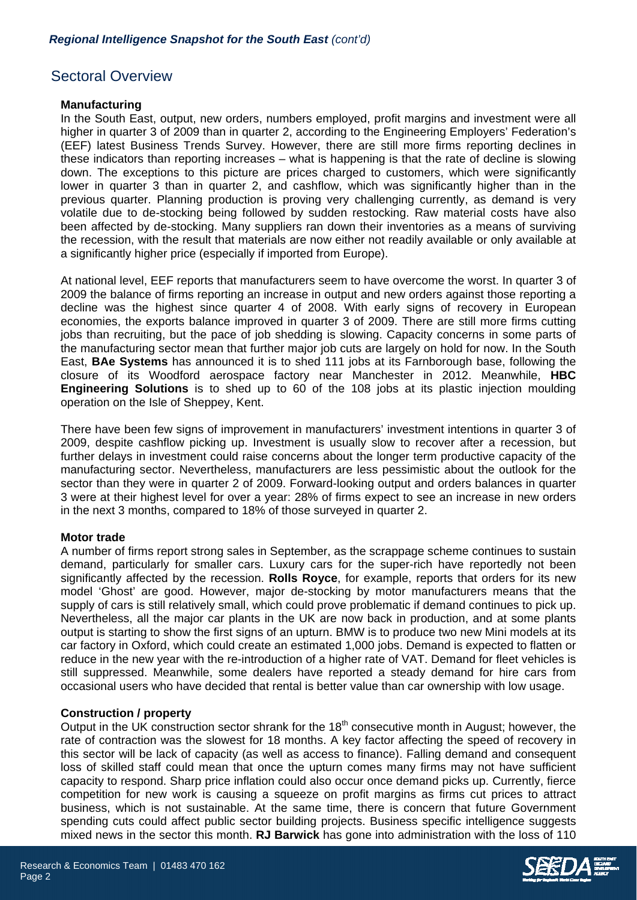## Sectoral Overview

## **Manufacturing**

In the South East, output, new orders, numbers employed, profit margins and investment were all higher in quarter 3 of 2009 than in quarter 2, according to the Engineering Employers' Federation's (EEF) latest Business Trends Survey. However, there are still more firms reporting declines in these indicators than reporting increases – what is happening is that the rate of decline is slowing down. The exceptions to this picture are prices charged to customers, which were significantly lower in quarter 3 than in quarter 2, and cashflow, which was significantly higher than in the previous quarter. Planning production is proving very challenging currently, as demand is very volatile due to de-stocking being followed by sudden restocking. Raw material costs have also been affected by de-stocking. Many suppliers ran down their inventories as a means of surviving the recession, with the result that materials are now either not readily available or only available at a significantly higher price (especially if imported from Europe).

At national level, EEF reports that manufacturers seem to have overcome the worst. In quarter 3 of 2009 the balance of firms reporting an increase in output and new orders against those reporting a decline was the highest since quarter 4 of 2008. With early signs of recovery in European economies, the exports balance improved in quarter 3 of 2009. There are still more firms cutting jobs than recruiting, but the pace of job shedding is slowing. Capacity concerns in some parts of the manufacturing sector mean that further major job cuts are largely on hold for now. In the South East, **BAe Systems** has announced it is to shed 111 jobs at its Farnborough base, following the closure of its Woodford aerospace factory near Manchester in 2012. Meanwhile, **HBC Engineering Solutions** is to shed up to 60 of the 108 jobs at its plastic injection moulding operation on the Isle of Sheppey, Kent.

There have been few signs of improvement in manufacturers' investment intentions in quarter 3 of 2009, despite cashflow picking up. Investment is usually slow to recover after a recession, but further delays in investment could raise concerns about the longer term productive capacity of the manufacturing sector. Nevertheless, manufacturers are less pessimistic about the outlook for the sector than they were in quarter 2 of 2009. Forward-looking output and orders balances in quarter 3 were at their highest level for over a year: 28% of firms expect to see an increase in new orders in the next 3 months, compared to 18% of those surveyed in quarter 2.

## **Motor trade**

A number of firms report strong sales in September, as the scrappage scheme continues to sustain demand, particularly for smaller cars. Luxury cars for the super-rich have reportedly not been significantly affected by the recession. **Rolls Royce**, for example, reports that orders for its new model 'Ghost' are good. However, major de-stocking by motor manufacturers means that the supply of cars is still relatively small, which could prove problematic if demand continues to pick up. Nevertheless, all the major car plants in the UK are now back in production, and at some plants output is starting to show the first signs of an upturn. BMW is to produce two new Mini models at its car factory in Oxford, which could create an estimated 1,000 jobs. Demand is expected to flatten or reduce in the new year with the re-introduction of a higher rate of VAT. Demand for fleet vehicles is still suppressed. Meanwhile, some dealers have reported a steady demand for hire cars from occasional users who have decided that rental is better value than car ownership with low usage.

## **Construction / property**

Output in the UK construction sector shrank for the  $18<sup>th</sup>$  consecutive month in August; however, the rate of contraction was the slowest for 18 months. A key factor affecting the speed of recovery in this sector will be lack of capacity (as well as access to finance). Falling demand and consequent loss of skilled staff could mean that once the upturn comes many firms may not have sufficient capacity to respond. Sharp price inflation could also occur once demand picks up. Currently, fierce competition for new work is causing a squeeze on profit margins as firms cut prices to attract business, which is not sustainable. At the same time, there is concern that future Government spending cuts could affect public sector building projects. Business specific intelligence suggests mixed news in the sector this month. **RJ Barwick** has gone into administration with the loss of 110

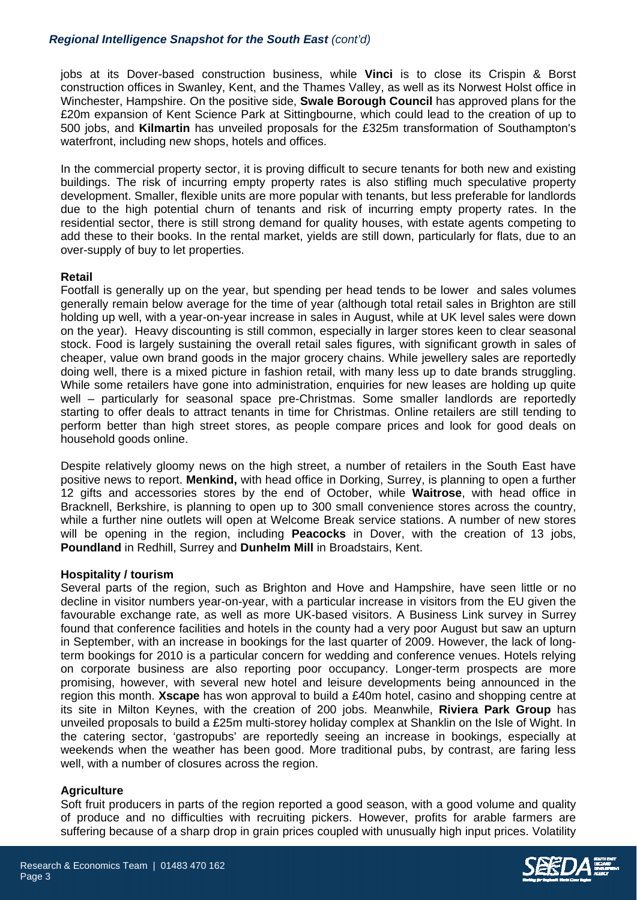## *Regional Intelligence Snapshot for the South East (cont'd)*

jobs at its Dover-based construction business, while **Vinci** is to close its Crispin & Borst construction offices in Swanley, Kent, and the Thames Valley, as well as its Norwest Holst office in Winchester, Hampshire. On the positive side, **Swale Borough Council** has approved plans for the £20m expansion of Kent Science Park at Sittingbourne, which could lead to the creation of up to 500 jobs, and **Kilmartin** has unveiled proposals for the £325m transformation of Southampton's waterfront, including new shops, hotels and offices.

In the commercial property sector, it is proving difficult to secure tenants for both new and existing buildings. The risk of incurring empty property rates is also stifling much speculative property development. Smaller, flexible units are more popular with tenants, but less preferable for landlords due to the high potential churn of tenants and risk of incurring empty property rates. In the residential sector, there is still strong demand for quality houses, with estate agents competing to add these to their books. In the rental market, yields are still down, particularly for flats, due to an over-supply of buy to let properties.

## **Retail**

Footfall is generally up on the year, but spending per head tends to be lower and sales volumes generally remain below average for the time of year (although total retail sales in Brighton are still holding up well, with a year-on-year increase in sales in August, while at UK level sales were down on the year). Heavy discounting is still common, especially in larger stores keen to clear seasonal stock. Food is largely sustaining the overall retail sales figures, with significant growth in sales of cheaper, value own brand goods in the major grocery chains. While jewellery sales are reportedly doing well, there is a mixed picture in fashion retail, with many less up to date brands struggling. While some retailers have gone into administration, enquiries for new leases are holding up quite well – particularly for seasonal space pre-Christmas. Some smaller landlords are reportedly starting to offer deals to attract tenants in time for Christmas. Online retailers are still tending to perform better than high street stores, as people compare prices and look for good deals on household goods online.

Despite relatively gloomy news on the high street, a number of retailers in the South East have positive news to report. **Menkind,** with head office in Dorking, Surrey, is planning to open a further 12 gifts and accessories stores by the end of October, while **Waitrose**, with head office in Bracknell, Berkshire, is planning to open up to 300 small convenience stores across the country, while a further nine outlets will open at Welcome Break service stations. A number of new stores will be opening in the region, including **Peacocks** in Dover, with the creation of 13 jobs, **Poundland** in Redhill, Surrey and **Dunhelm Mill** in Broadstairs, Kent.

## **Hospitality / tourism**

Several parts of the region, such as Brighton and Hove and Hampshire, have seen little or no decline in visitor numbers year-on-year, with a particular increase in visitors from the EU given the favourable exchange rate, as well as more UK-based visitors. A Business Link survey in Surrey found that conference facilities and hotels in the county had a very poor August but saw an upturn in September, with an increase in bookings for the last quarter of 2009. However, the lack of longterm bookings for 2010 is a particular concern for wedding and conference venues. Hotels relying on corporate business are also reporting poor occupancy. Longer-term prospects are more promising, however, with several new hotel and leisure developments being announced in the region this month. **Xscape** has won approval to build a £40m hotel, casino and shopping centre at its site in Milton Keynes, with the creation of 200 jobs. Meanwhile, **Riviera Park Group** has unveiled proposals to build a £25m multi-storey holiday complex at Shanklin on the Isle of Wight. In the catering sector, 'gastropubs' are reportedly seeing an increase in bookings, especially at weekends when the weather has been good. More traditional pubs, by contrast, are faring less well, with a number of closures across the region.

## **Agriculture**

Soft fruit producers in parts of the region reported a good season, with a good volume and quality of produce and no difficulties with recruiting pickers. However, profits for arable farmers are suffering because of a sharp drop in grain prices coupled with unusually high input prices. Volatility

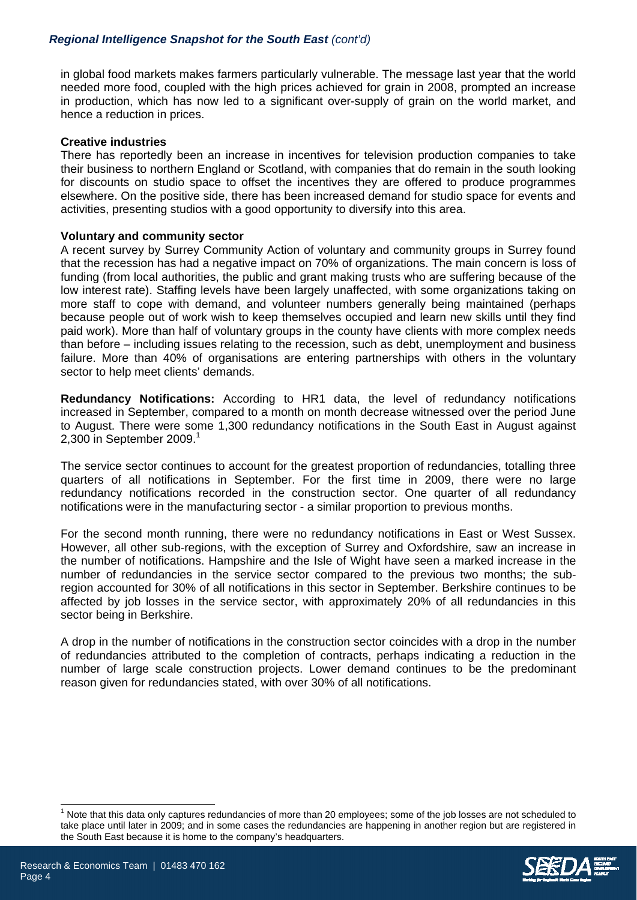in global food markets makes farmers particularly vulnerable. The message last year that the world needed more food, coupled with the high prices achieved for grain in 2008, prompted an increase in production, which has now led to a significant over-supply of grain on the world market, and hence a reduction in prices.

## **Creative industries**

There has reportedly been an increase in incentives for television production companies to take their business to northern England or Scotland, with companies that do remain in the south looking for discounts on studio space to offset the incentives they are offered to produce programmes elsewhere. On the positive side, there has been increased demand for studio space for events and activities, presenting studios with a good opportunity to diversify into this area.

## **Voluntary and community sector**

A recent survey by Surrey Community Action of voluntary and community groups in Surrey found that the recession has had a negative impact on 70% of organizations. The main concern is loss of funding (from local authorities, the public and grant making trusts who are suffering because of the low interest rate). Staffing levels have been largely unaffected, with some organizations taking on more staff to cope with demand, and volunteer numbers generally being maintained (perhaps because people out of work wish to keep themselves occupied and learn new skills until they find paid work). More than half of voluntary groups in the county have clients with more complex needs than before – including issues relating to the recession, such as debt, unemployment and business failure. More than 40% of organisations are entering partnerships with others in the voluntary sector to help meet clients' demands.

**Redundancy Notifications:** According to HR1 data, the level of redundancy notifications increased in September, compared to a month on month decrease witnessed over the period June to August. There were some 1,300 redundancy notifications in the South East in August against 2,300 in September 2009. $1$ 

The service sector continues to account for the greatest proportion of redundancies, totalling three quarters of all notifications in September. For the first time in 2009, there were no large redundancy notifications recorded in the construction sector. One quarter of all redundancy notifications were in the manufacturing sector - a similar proportion to previous months.

For the second month running, there were no redundancy notifications in East or West Sussex. However, all other sub-regions, with the exception of Surrey and Oxfordshire, saw an increase in the number of notifications. Hampshire and the Isle of Wight have seen a marked increase in the number of redundancies in the service sector compared to the previous two months; the subregion accounted for 30% of all notifications in this sector in September. Berkshire continues to be affected by job losses in the service sector, with approximately 20% of all redundancies in this sector being in Berkshire.

A drop in the number of notifications in the construction sector coincides with a drop in the number of redundancies attributed to the completion of contracts, perhaps indicating a reduction in the number of large scale construction projects. Lower demand continues to be the predominant reason given for redundancies stated, with over 30% of all notifications.

<sup>1</sup> Note that this data only captures redundancies of more than 20 employees; some of the job losses are not scheduled to take place until later in 2009; and in some cases the redundancies are happening in another region but are registered in the South East because it is home to the company's headquarters.



 $\overline{\phantom{a}}$